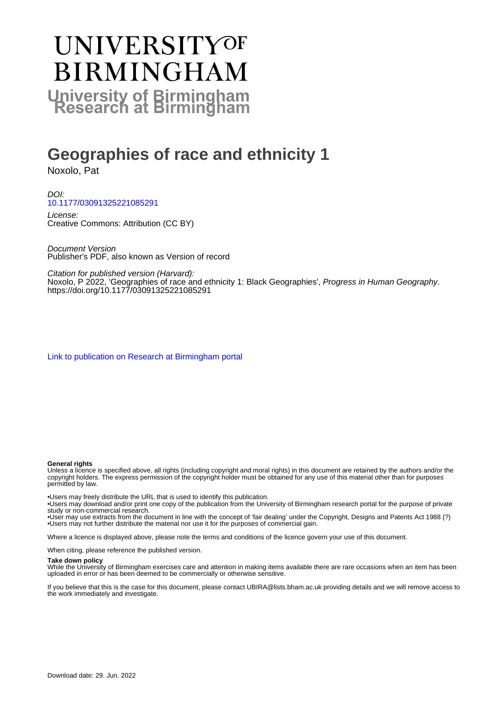# **UNIVERSITYOF BIRMINGHAM University of Birmingham**

# **Geographies of race and ethnicity 1**

Noxolo, Pat

DOI: [10.1177/03091325221085291](https://doi.org/10.1177/03091325221085291)

License: Creative Commons: Attribution (CC BY)

Document Version Publisher's PDF, also known as Version of record

Citation for published version (Harvard):

Noxolo, P 2022, 'Geographies of race and ethnicity 1: Black Geographies', Progress in Human Geography. <https://doi.org/10.1177/03091325221085291>

[Link to publication on Research at Birmingham portal](https://birmingham.elsevierpure.com/en/publications/bb00be61-736a-4a39-9459-502e8a0cb9bf)

#### **General rights**

Unless a licence is specified above, all rights (including copyright and moral rights) in this document are retained by the authors and/or the copyright holders. The express permission of the copyright holder must be obtained for any use of this material other than for purposes permitted by law.

• Users may freely distribute the URL that is used to identify this publication.

• Users may download and/or print one copy of the publication from the University of Birmingham research portal for the purpose of private study or non-commercial research.

• User may use extracts from the document in line with the concept of 'fair dealing' under the Copyright, Designs and Patents Act 1988 (?) • Users may not further distribute the material nor use it for the purposes of commercial gain.

Where a licence is displayed above, please note the terms and conditions of the licence govern your use of this document.

When citing, please reference the published version.

#### **Take down policy**

While the University of Birmingham exercises care and attention in making items available there are rare occasions when an item has been uploaded in error or has been deemed to be commercially or otherwise sensitive.

If you believe that this is the case for this document, please contact UBIRA@lists.bham.ac.uk providing details and we will remove access to the work immediately and investigate.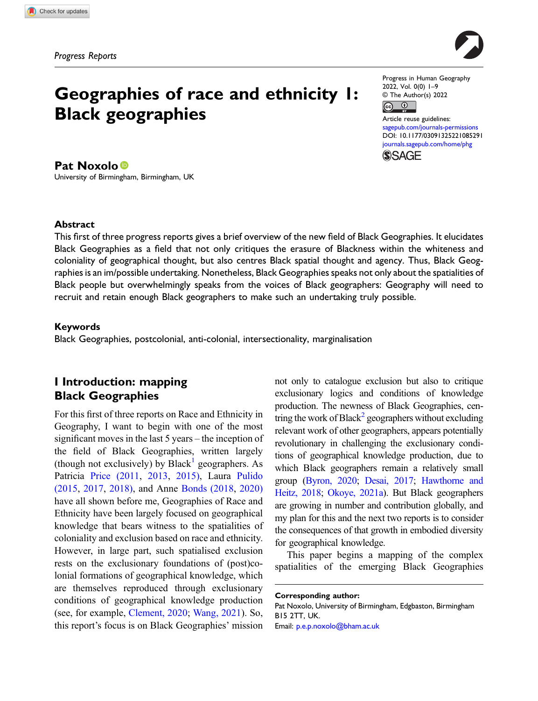# Geographies of race and ethnicity 1: Black geographies

Pat Noxolo<sup>®</sup> University of Birmingham, Birmingham, UK Progress in Human Geography 2022, Vol. 0(0) 1–9 © The Author(s) 2022



Article reuse guidelines: [sagepub.com/journals-permissions](https://uk.sagepub.com/en-gb/journals-permissions) DOI: [10.1177/03091325221085291](https://doi.org/10.1177/03091325221085291) [journals.sagepub.com/home/phg](https://journals.sagepub.com/home/phg) **SSAGE** 

## Abstract

This first of three progress reports gives a brief overview of the new field of Black Geographies. It elucidates Black Geographies as a field that not only critiques the erasure of Blackness within the whiteness and coloniality of geographical thought, but also centres Black spatial thought and agency. Thus, Black Geographies is an im/possible undertaking. Nonetheless, Black Geographies speaks not only about the spatialities of Black people but overwhelmingly speaks from the voices of Black geographers: Geography will need to recruit and retain enough Black geographers to make such an undertaking truly possible.

### Keywords

Black Geographies, postcolonial, anti-colonial, intersectionality, marginalisation

# I Introduction: mapping Black Geographies

For this first of three reports on Race and Ethnicity in Geography, I want to begin with one of the most significant moves in the last 5 years – the inception of the field of Black Geographies, written largely (though not exclusively) by  $Black<sup>1</sup>$  $Black<sup>1</sup>$  $Black<sup>1</sup>$  geographers. As Patricia [Price \(2011,](#page-8-0) [2013](#page-8-1), [2015\),](#page-8-2) Laura [Pulido](#page-8-3) [\(2015](#page-8-3), [2017](#page-8-4), [2018\)](#page-8-5), and Anne [Bonds \(2018,](#page-7-0) [2020\)](#page-7-1) have all shown before me, Geographies of Race and Ethnicity have been largely focused on geographical knowledge that bears witness to the spatialities of coloniality and exclusion based on race and ethnicity. However, in large part, such spatialised exclusion rests on the exclusionary foundations of (post)colonial formations of geographical knowledge, which are themselves reproduced through exclusionary conditions of geographical knowledge production (see, for example, [Clement, 2020;](#page-7-2) [Wang, 2021](#page-9-0)). So, this report's focus is on Black Geographies' mission not only to catalogue exclusion but also to critique exclusionary logics and conditions of knowledge production. The newness of Black Geographies, centring the work of Black<sup>2</sup> geographers without excluding relevant work of other geographers, appears potentially revolutionary in challenging the exclusionary conditions of geographical knowledge production, due to which Black geographers remain a relatively small group ([Byron, 2020](#page-7-3); [Desai, 2017;](#page-7-4) [Hawthorne and](#page-7-5) [Heitz, 2018;](#page-7-5) [Okoye, 2021a\)](#page-8-6). But Black geographers are growing in number and contribution globally, and my plan for this and the next two reports is to consider the consequences of that growth in embodied diversity for geographical knowledge.

This paper begins a mapping of the complex spatialities of the emerging Black Geographies

Corresponding author: Pat Noxolo, University of Birmingham, Edgbaston, Birmingham B15 2TT, UK. Email: [p.e.p.noxolo@bham.ac.uk](mailto:p.e.p.noxolo@bham.ac.uk)

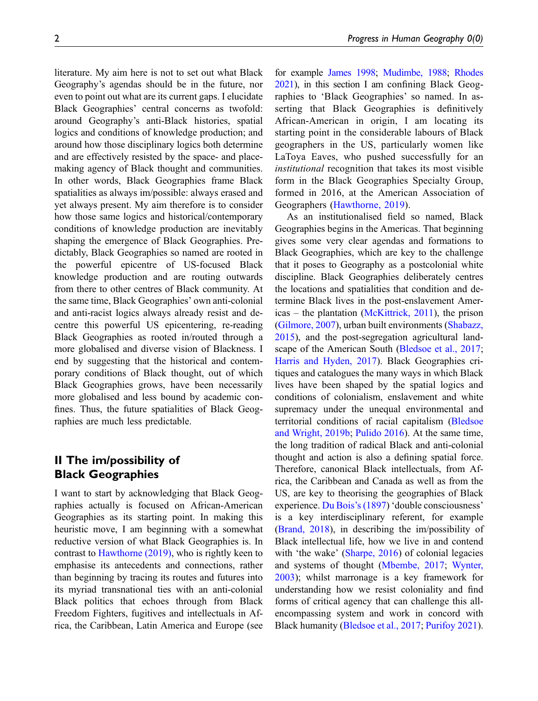literature. My aim here is not to set out what Black Geography's agendas should be in the future, nor even to point out what are its current gaps. I elucidate Black Geographies' central concerns as twofold: around Geography's anti-Black histories, spatial logics and conditions of knowledge production; and around how those disciplinary logics both determine and are effectively resisted by the space- and placemaking agency of Black thought and communities. In other words, Black Geographies frame Black spatialities as always im/possible: always erased and yet always present. My aim therefore is to consider how those same logics and historical/contemporary conditions of knowledge production are inevitably shaping the emergence of Black Geographies. Predictably, Black Geographies so named are rooted in the powerful epicentre of US-focused Black knowledge production and are routing outwards from there to other centres of Black community. At the same time, Black Geographies' own anti-colonial and anti-racist logics always already resist and decentre this powerful US epicentering, re-reading Black Geographies as rooted in/routed through a more globalised and diverse vision of Blackness. I end by suggesting that the historical and contemporary conditions of Black thought, out of which Black Geographies grows, have been necessarily more globalised and less bound by academic confines. Thus, the future spatialities of Black Geographies are much less predictable.

# II The im/possibility of Black Geographies

I want to start by acknowledging that Black Geographies actually is focused on African-American Geographies as its starting point. In making this heuristic move, I am beginning with a somewhat reductive version of what Black Geographies is. In contrast to [Hawthorne \(2019\),](#page-7-6) who is rightly keen to emphasise its antecedents and connections, rather than beginning by tracing its routes and futures into its myriad transnational ties with an anti-colonial Black politics that echoes through from Black Freedom Fighters, fugitives and intellectuals in Africa, the Caribbean, Latin America and Europe (see for example [James 1998](#page-8-7); [Mudimbe, 1988](#page-8-8); [Rhodes](#page-8-9) [2021](#page-8-9)), in this section I am confining Black Geographies to 'Black Geographies' so named. In asserting that Black Geographies is definitively African-American in origin, I am locating its starting point in the considerable labours of Black geographers in the US, particularly women like LaToya Eaves, who pushed successfully for an institutional recognition that takes its most visible form in the Black Geographies Specialty Group, formed in 2016, at the American Association of Geographers [\(Hawthorne, 2019](#page-7-6)).

As an institutionalised field so named, Black Geographies begins in the Americas. That beginning gives some very clear agendas and formations to Black Geographies, which are key to the challenge that it poses to Geography as a postcolonial white discipline. Black Geographies deliberately centres the locations and spatialities that condition and determine Black lives in the post-enslavement Americas – the plantation ([McKittrick, 2011](#page-8-10)), the prison [\(Gilmore, 2007](#page-7-7)), urban built environments [\(Shabazz,](#page-9-1) [2015\)](#page-9-1), and the post-segregation agricultural landscape of the American South ([Bledsoe et al., 2017;](#page-7-8) [Harris and Hyden, 2017](#page-7-9)). Black Geographies critiques and catalogues the many ways in which Black lives have been shaped by the spatial logics and conditions of colonialism, enslavement and white supremacy under the unequal environmental and territorial conditions of racial capitalism ([Bledsoe](#page-6-2) [and Wright, 2019b;](#page-6-2) [Pulido 2016\)](#page-8-11). At the same time, the long tradition of radical Black and anti-colonial thought and action is also a defining spatial force. Therefore, canonical Black intellectuals, from Africa, the Caribbean and Canada as well as from the US, are key to theorising the geographies of Black experience. [Du Bois](#page-7-10)'s (1897) 'double consciousness' is a key interdisciplinary referent, for example [\(Brand, 2018\)](#page-7-11), in describing the im/possibility of Black intellectual life, how we live in and contend with 'the wake' ([Sharpe, 2016\)](#page-9-2) of colonial legacies and systems of thought [\(Mbembe, 2017;](#page-8-12) [Wynter,](#page-9-3) [2003\)](#page-9-3); whilst marronage is a key framework for understanding how we resist coloniality and find forms of critical agency that can challenge this allencompassing system and work in concord with Black humanity ([Bledsoe et al., 2017](#page-7-8); [Purifoy 2021\)](#page-8-13).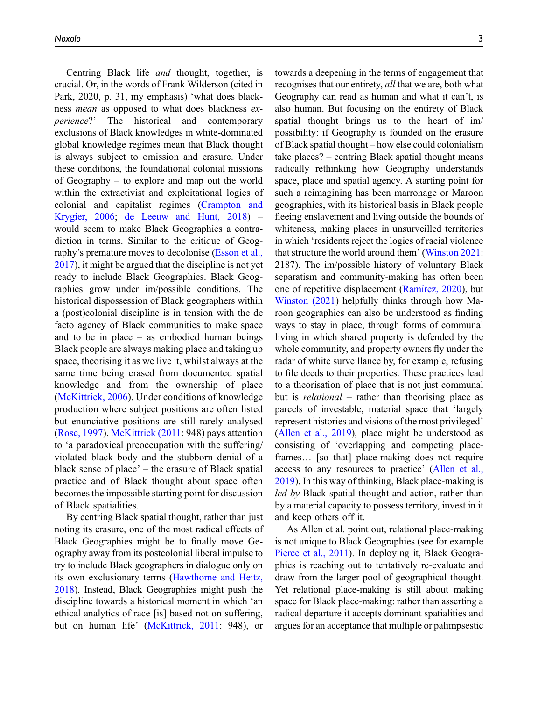Centring Black life and thought, together, is crucial. Or, in the words of Frank Wilderson (cited in Park, 2020, p. 31, my emphasis) 'what does blackness mean as opposed to what does blackness experience?' The historical and contemporary exclusions of Black knowledges in white-dominated global knowledge regimes mean that Black thought is always subject to omission and erasure. Under these conditions, the foundational colonial missions of Geography – to explore and map out the world within the extractivist and exploitational logics of colonial and capitalist regimes [\(Crampton and](#page-7-12) [Krygier, 2006](#page-7-12); [de Leeuw and Hunt, 2018](#page-8-14)) – would seem to make Black Geographies a contradiction in terms. Similar to the critique of Geography's premature moves to decolonise [\(Esson et al.,](#page-7-13) [2017](#page-7-13)), it might be argued that the discipline is not yet ready to include Black Geographies. Black Geographies grow under im/possible conditions. The historical dispossession of Black geographers within a (post)colonial discipline is in tension with the de facto agency of Black communities to make space and to be in place – as embodied human beings Black people are always making place and taking up space, theorising it as we live it, whilst always at the same time being erased from documented spatial knowledge and from the ownership of place [\(McKittrick, 2006](#page-8-15)). Under conditions of knowledge production where subject positions are often listed but enunciative positions are still rarely analysed [\(Rose, 1997\)](#page-9-4), [McKittrick \(2011:](#page-8-10) 948) pays attention to 'a paradoxical preoccupation with the suffering/ violated black body and the stubborn denial of a black sense of place' – the erasure of Black spatial practice and of Black thought about space often becomes the impossible starting point for discussion of Black spatialities.

By centring Black spatial thought, rather than just noting its erasure, one of the most radical effects of Black Geographies might be to finally move Geography away from its postcolonial liberal impulse to try to include Black geographers in dialogue only on its own exclusionary terms ([Hawthorne and Heitz,](#page-7-5) [2018](#page-7-5)). Instead, Black Geographies might push the discipline towards a historical moment in which 'an ethical analytics of race [is] based not on suffering, but on human life' ([McKittrick, 2011:](#page-8-10) 948), or

towards a deepening in the terms of engagement that recognises that our entirety, all that we are, both what Geography can read as human and what it can't, is also human. But focusing on the entirety of Black spatial thought brings us to the heart of im/ possibility: if Geography is founded on the erasure of Black spatial thought – how else could colonialism take places? – centring Black spatial thought means radically rethinking how Geography understands space, place and spatial agency. A starting point for such a reimagining has been marronage or Maroon geographies, with its historical basis in Black people fleeing enslavement and living outside the bounds of whiteness, making places in unsurveilled territories in which 'residents reject the logics of racial violence that structure the world around them' ([Winston 2021:](#page-9-5) 2187). The im/possible history of voluntary Black separatism and community-making has often been one of repetitive displacement (Ramí[rez, 2020](#page-8-16)), but [Winston \(2021](#page-9-5)) helpfully thinks through how Maroon geographies can also be understood as finding ways to stay in place, through forms of communal living in which shared property is defended by the whole community, and property owners fly under the radar of white surveillance by, for example, refusing to file deeds to their properties. These practices lead to a theorisation of place that is not just communal but is *relational* – rather than theorising place as parcels of investable, material space that 'largely represent histories and visions of the most privileged' [\(Allen et al., 2019](#page-6-3)), place might be understood as consisting of 'overlapping and competing placeframes… [so that] place-making does not require access to any resources to practice' [\(Allen et al.,](#page-6-3) [2019\)](#page-6-3). In this way of thinking, Black place-making is led by Black spatial thought and action, rather than by a material capacity to possess territory, invest in it and keep others off it.

As Allen et al. point out, relational place-making is not unique to Black Geographies (see for example [Pierce et al., 2011](#page-8-17)). In deploying it, Black Geographies is reaching out to tentatively re-evaluate and draw from the larger pool of geographical thought. Yet relational place-making is still about making space for Black place-making: rather than asserting a radical departure it accepts dominant spatialities and argues for an acceptance that multiple or palimpsestic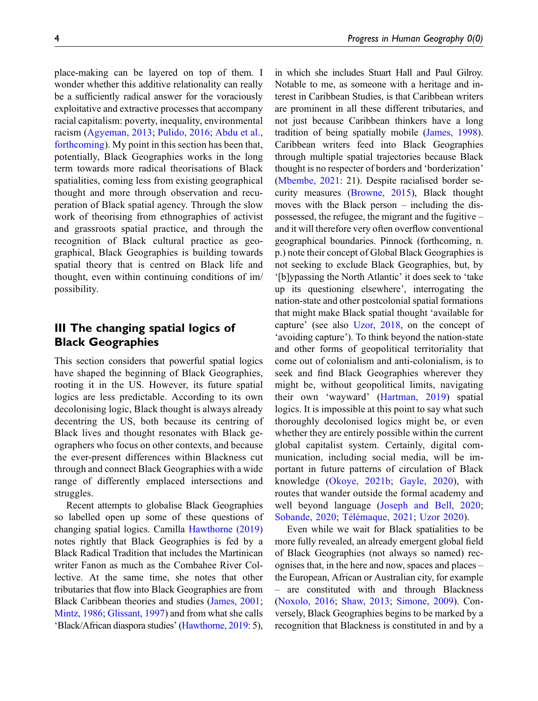place-making can be layered on top of them. I wonder whether this additive relationality can really be a sufficiently radical answer for the voraciously exploitative and extractive processes that accompany racial capitalism: poverty, inequality, environmental racism ([Agyeman, 2013;](#page-6-4) [Pulido, 2016](#page-8-11); [Abdu et al.,](#page-6-5) [forthcoming](#page-6-5)). My point in this section has been that, potentially, Black Geographies works in the long term towards more radical theorisations of Black spatialities, coming less from existing geographical thought and more through observation and recuperation of Black spatial agency. Through the slow work of theorising from ethnographies of activist and grassroots spatial practice, and through the recognition of Black cultural practice as geographical, Black Geographies is building towards spatial theory that is centred on Black life and thought, even within continuing conditions of im/ possibility.

# III The changing spatial logics of Black Geographies

This section considers that powerful spatial logics have shaped the beginning of Black Geographies, rooting it in the US. However, its future spatial logics are less predictable. According to its own decolonising logic, Black thought is always already decentring the US, both because its centring of Black lives and thought resonates with Black geographers who focus on other contexts, and because the ever-present differences within Blackness cut through and connect Black Geographies with a wide range of differently emplaced intersections and struggles.

Recent attempts to globalise Black Geographies so labelled open up some of these questions of changing spatial logics. Camilla [Hawthorne \(2019\)](#page-7-6) notes rightly that Black Geographies is fed by a Black Radical Tradition that includes the Martinican writer Fanon as much as the Combahee River Collective. At the same time, she notes that other tributaries that flow into Black Geographies are from Black Caribbean theories and studies ([James, 2001](#page-8-18); [Mintz, 1986](#page-8-19); [Glissant, 1997](#page-7-14)) and from what she calls 'Black/African diaspora studies' [\(Hawthorne, 2019](#page-7-6): 5),

in which she includes Stuart Hall and Paul Gilroy. Notable to me, as someone with a heritage and interest in Caribbean Studies, is that Caribbean writers are prominent in all these different tributaries, and not just because Caribbean thinkers have a long tradition of being spatially mobile ([James, 1998\)](#page-8-7). Caribbean writers feed into Black Geographies through multiple spatial trajectories because Black thought is no respecter of borders and 'borderization' [\(Mbembe, 2021:](#page-8-20) 21). Despite racialised border security measures [\(Browne, 2015\)](#page-7-15), Black thought moves with the Black person – including the dispossessed, the refugee, the migrant and the fugitive – and it will therefore very often overflow conventional geographical boundaries. Pinnock (forthcoming, n. p.) note their concept of Global Black Geographies is not seeking to exclude Black Geographies, but, by '[b]ypassing the North Atlantic' it does seek to 'take up its questioning elsewhere', interrogating the nation-state and other postcolonial spatial formations that might make Black spatial thought 'available for capture' (see also [Uzor, 2018,](#page-9-6) on the concept of 'avoiding capture'). To think beyond the nation-state and other forms of geopolitical territoriality that come out of colonialism and anti-colonialism, is to seek and find Black Geographies wherever they might be, without geopolitical limits, navigating their own 'wayward' ([Hartman, 2019\)](#page-7-16) spatial logics. It is impossible at this point to say what such thoroughly decolonised logics might be, or even whether they are entirely possible within the current global capitalist system. Certainly, digital communication, including social media, will be important in future patterns of circulation of Black knowledge ([Okoye, 2021b](#page-8-21); [Gayle, 2020\)](#page-7-17), with routes that wander outside the formal academy and well beyond language ([Joseph and Bell, 2020;](#page-8-22) [Sobande, 2020](#page-9-7); [T](#page-9-8)é[l](#page-9-8)é[maque, 2021](#page-9-8); [Uzor 2020\)](#page-9-9).

Even while we wait for Black spatialities to be more fully revealed, an already emergent global field of Black Geographies (not always so named) recognises that, in the here and now, spaces and places – the European, African or Australian city, for example – are constituted with and through Blackness [\(Noxolo, 2016](#page-8-23); [Shaw, 2013](#page-9-10); [Simone, 2009\)](#page-9-11). Conversely, Black Geographies begins to be marked by a recognition that Blackness is constituted in and by a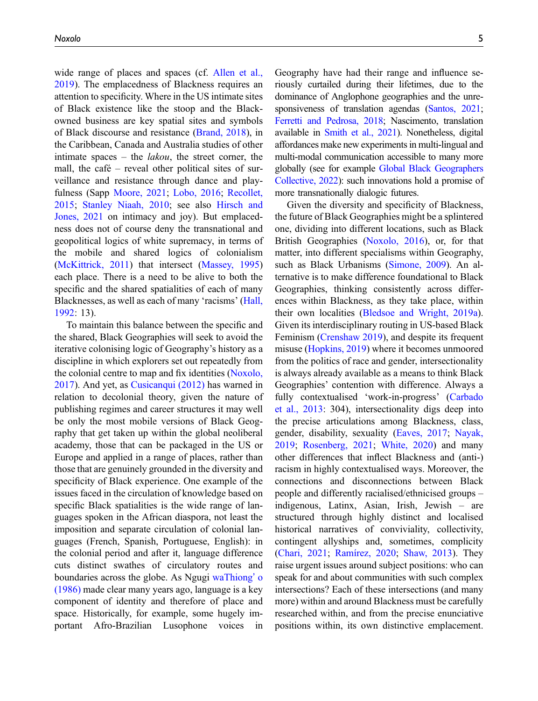wide range of places and spaces (cf. [Allen et al.,](#page-6-3) [2019](#page-6-3)). The emplacedness of Blackness requires an attention to specificity. Where in the US intimate sites of Black existence like the stoop and the Blackowned business are key spatial sites and symbols of Black discourse and resistance [\(Brand, 2018](#page-7-11)), in the Caribbean, Canada and Australia studies of other intimate spaces – the *lakou*, the street corner, the mall, the café – reveal other political sites of surveillance and resistance through dance and playfulness (Sapp [Moore, 2021;](#page-8-24) [Lobo, 2016;](#page-8-25) [Recollet,](#page-8-26) [2015](#page-8-26); [Stanley Niaah, 2010;](#page-9-12) see also [Hirsch and](#page-7-18) [Jones, 2021](#page-7-18) on intimacy and joy). But emplacedness does not of course deny the transnational and geopolitical logics of white supremacy, in terms of the mobile and shared logics of colonialism [\(McKittrick, 2011](#page-8-10)) that intersect ([Massey, 1995\)](#page-8-27) each place. There is a need to be alive to both the specific and the shared spatialities of each of many Blacknesses, as well as each of many 'racisms' [\(Hall,](#page-7-19) [1992](#page-7-19): 13).

To maintain this balance between the specific and the shared, Black Geographies will seek to avoid the iterative colonising logic of Geography's history as a discipline in which explorers set out repeatedly from the colonial centre to map and fix identities ([Noxolo,](#page-8-28) [2017](#page-8-28)). And yet, as [Cusicanqui \(2012\)](#page-7-20) has warned in relation to decolonial theory, given the nature of publishing regimes and career structures it may well be only the most mobile versions of Black Geography that get taken up within the global neoliberal academy, those that can be packaged in the US or Europe and applied in a range of places, rather than those that are genuinely grounded in the diversity and specificity of Black experience. One example of the issues faced in the circulation of knowledge based on specific Black spatialities is the wide range of languages spoken in the African diaspora, not least the imposition and separate circulation of colonial languages (French, Spanish, Portuguese, English): in the colonial period and after it, language difference cuts distinct swathes of circulatory routes and boundaries across the globe. As Ngugi [waThiong](#page-9-13)' o [\(1986\)](#page-9-13) made clear many years ago, language is a key component of identity and therefore of place and space. Historically, for example, some hugely important Afro-Brazilian Lusophone voices in

Geography have had their range and influence seriously curtailed during their lifetimes, due to the dominance of Anglophone geographies and the unresponsiveness of translation agendas ([Santos, 2021;](#page-9-14) [Ferretti and Pedrosa, 2018;](#page-7-21) Nascimento, translation available in [Smith et al., 2021](#page-9-15)). Nonetheless, digital affordances make new experiments in multi-lingual and multi-modal communication accessible to many more globally (see for example [Global Black Geographers](#page-7-22) [Collective, 2022\)](#page-7-22): such innovations hold a promise of more transnationally dialogic futures.

Given the diversity and specificity of Blackness, the future of Black Geographies might be a splintered one, dividing into different locations, such as Black British Geographies ([Noxolo, 2016\)](#page-8-23), or, for that matter, into different specialisms within Geography, such as Black Urbanisms [\(Simone, 2009](#page-9-11)). An alternative is to make difference foundational to Black Geographies, thinking consistently across differences within Blackness, as they take place, within their own localities [\(Bledsoe and Wright, 2019a\)](#page-6-6). Given its interdisciplinary routing in US-based Black Feminism [\(Crenshaw 2019](#page-7-23)), and despite its frequent misuse ([Hopkins, 2019](#page-7-24)) where it becomes unmoored from the politics of race and gender, intersectionality is always already available as a means to think Black Geographies' contention with difference. Always a fully contextualised 'work-in-progress' ([Carbado](#page-7-25) [et al., 2013:](#page-7-25) 304), intersectionality digs deep into the precise articulations among Blackness, class, gender, disability, sexuality ([Eaves, 2017;](#page-7-26) [Nayak,](#page-8-29) [2019;](#page-8-29) [Rosenberg, 2021;](#page-9-16) [White, 2020](#page-9-17)) and many other differences that inflect Blackness and (anti-) racism in highly contextualised ways. Moreover, the connections and disconnections between Black people and differently racialised/ethnicised groups – indigenous, Latinx, Asian, Irish, Jewish – are structured through highly distinct and localised historical narratives of conviviality, collectivity, contingent allyships and, sometimes, complicity [\(Chari, 2021](#page-7-27); Ramí[rez, 2020](#page-8-16); [Shaw, 2013\)](#page-9-10). They raise urgent issues around subject positions: who can speak for and about communities with such complex intersections? Each of these intersections (and many more) within and around Blackness must be carefully researched within, and from the precise enunciative positions within, its own distinctive emplacement.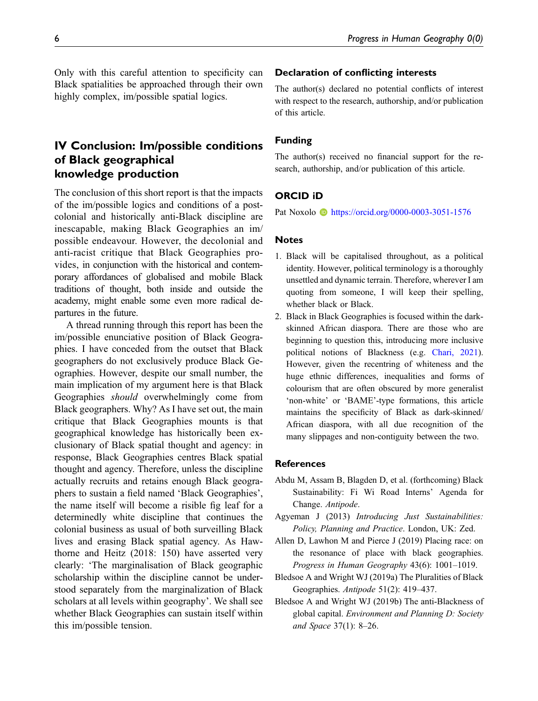Only with this careful attention to specificity can Black spatialities be approached through their own highly complex, im/possible spatial logics.

# IV Conclusion: Im/possible conditions of Black geographical knowledge production

The conclusion of this short report is that the impacts of the im/possible logics and conditions of a postcolonial and historically anti-Black discipline are inescapable, making Black Geographies an im/ possible endeavour. However, the decolonial and anti-racist critique that Black Geographies provides, in conjunction with the historical and contemporary affordances of globalised and mobile Black traditions of thought, both inside and outside the academy, might enable some even more radical departures in the future.

A thread running through this report has been the im/possible enunciative position of Black Geographies. I have conceded from the outset that Black geographers do not exclusively produce Black Geographies. However, despite our small number, the main implication of my argument here is that Black Geographies should overwhelmingly come from Black geographers. Why? As I have set out, the main critique that Black Geographies mounts is that geographical knowledge has historically been exclusionary of Black spatial thought and agency: in response, Black Geographies centres Black spatial thought and agency. Therefore, unless the discipline actually recruits and retains enough Black geographers to sustain a field named 'Black Geographies', the name itself will become a risible fig leaf for a determinedly white discipline that continues the colonial business as usual of both surveilling Black lives and erasing Black spatial agency. As Hawthorne and Heitz (2018: 150) have asserted very clearly: 'The marginalisation of Black geographic scholarship within the discipline cannot be understood separately from the marginalization of Black scholars at all levels within geography'. We shall see whether Black Geographies can sustain itself within this im/possible tension.

## Declaration of conflicting interests

The author(s) declared no potential conflicts of interest with respect to the research, authorship, and/or publication of this article.

# Funding

The author(s) received no financial support for the research, authorship, and/or publication of this article.

# ORCID iD

Pat Noxolo **b** <https://orcid.org/0000-0003-3051-1576>

#### <span id="page-6-0"></span>Notes

- 1. Black will be capitalised throughout, as a political identity. However, political terminology is a thoroughly unsettled and dynamic terrain. Therefore, wherever I am quoting from someone, I will keep their spelling, whether black or Black.
- <span id="page-6-1"></span>2. Black in Black Geographies is focused within the darkskinned African diaspora. There are those who are beginning to question this, introducing more inclusive political notions of Blackness (e.g. [Chari, 2021](#page-7-27)). However, given the recentring of whiteness and the huge ethnic differences, inequalities and forms of colourism that are often obscured by more generalist 'non-white' or 'BAME'-type formations, this article maintains the specificity of Black as dark-skinned/ African diaspora, with all due recognition of the many slippages and non-contiguity between the two.

#### <span id="page-6-5"></span>**References**

- <span id="page-6-4"></span>Abdu M, Assam B, Blagden D, et al. (forthcoming) Black Sustainability: Fi Wi Road Interns' Agenda for Change. Antipode.
- <span id="page-6-3"></span>Agyeman J (2013) Introducing Just Sustainabilities: Policy, Planning and Practice. London, UK: Zed.
- <span id="page-6-6"></span>Allen D, Lawhon M and Pierce J (2019) Placing race: on the resonance of place with black geographies. Progress in Human Geography 43(6): 1001–1019.
- <span id="page-6-2"></span>Bledsoe A and Wright WJ (2019a) The Pluralities of Black Geographies. Antipode 51(2): 419–437.
- Bledsoe A and Wright WJ (2019b) The anti-Blackness of global capital. Environment and Planning D: Society and Space 37(1): 8–26.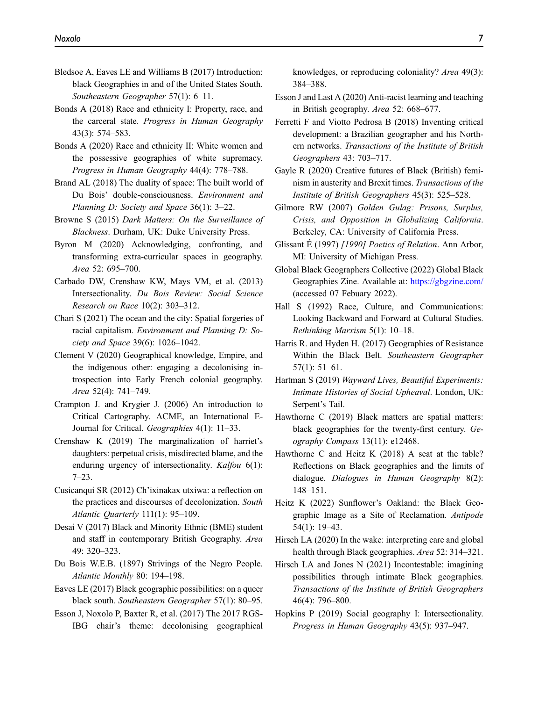- <span id="page-7-8"></span>Bledsoe A, Eaves LE and Williams B (2017) Introduction: black Geographies in and of the United States South. Southeastern Geographer 57(1): 6–11.
- <span id="page-7-0"></span>Bonds A (2018) Race and ethnicity I: Property, race, and the carceral state. Progress in Human Geography 43(3): 574–583.
- <span id="page-7-1"></span>Bonds A (2020) Race and ethnicity II: White women and the possessive geographies of white supremacy. Progress in Human Geography 44(4): 778–788.
- <span id="page-7-11"></span>Brand AL (2018) The duality of space: The built world of Du Bois' double-consciousness. Environment and Planning D: Society and Space 36(1): 3-22.
- <span id="page-7-15"></span>Browne S (2015) Dark Matters: On the Surveillance of Blackness. Durham, UK: Duke University Press.
- <span id="page-7-3"></span>Byron M (2020) Acknowledging, confronting, and transforming extra-curricular spaces in geography. Area 52: 695–700.
- <span id="page-7-25"></span>Carbado DW, Crenshaw KW, Mays VM, et al. (2013) Intersectionality. Du Bois Review: Social Science Research on Race 10(2): 303–312.
- <span id="page-7-27"></span>Chari S (2021) The ocean and the city: Spatial forgeries of racial capitalism. Environment and Planning D: Society and Space 39(6): 1026–1042.
- <span id="page-7-2"></span>Clement V (2020) Geographical knowledge, Empire, and the indigenous other: engaging a decolonising introspection into Early French colonial geography. Area 52(4): 741–749.
- <span id="page-7-12"></span>Crampton J. and Krygier J. (2006) An introduction to Critical Cartography. ACME, an International E-Journal for Critical. Geographies 4(1): 11–33.
- <span id="page-7-23"></span>Crenshaw K (2019) The marginalization of harriet's daughters: perpetual crisis, misdirected blame, and the enduring urgency of intersectionality. Kalfou 6(1): 7–23.
- <span id="page-7-20"></span>Cusicanqui SR (2012) Ch'ixinakax utxiwa: a reflection on the practices and discourses of decolonization. South Atlantic Quarterly 111(1): 95–109.
- <span id="page-7-4"></span>Desai V (2017) Black and Minority Ethnic (BME) student and staff in contemporary British Geography. Area 49: 320–323.
- <span id="page-7-26"></span><span id="page-7-10"></span>Du Bois W.E.B. (1897) Strivings of the Negro People. Atlantic Monthly 80: 194–198.
- <span id="page-7-13"></span>Eaves LE (2017) Black geographic possibilities: on a queer black south. Southeastern Geographer 57(1): 80–95.
- Esson J, Noxolo P, Baxter R, et al. (2017) The 2017 RGS-IBG chair's theme: decolonising geographical

knowledges, or reproducing coloniality? Area 49(3): 384–388.

- Esson J and Last A (2020) Anti-racist learning and teaching in British geography. Area 52: 668–677.
- <span id="page-7-21"></span>Ferretti F and Viotto Pedrosa B (2018) Inventing critical development: a Brazilian geographer and his Northern networks. Transactions of the Institute of British Geographers 43: 703–717.
- <span id="page-7-17"></span>Gayle R (2020) Creative futures of Black (British) feminism in austerity and Brexit times. Transactions of the Institute of British Geographers 45(3): 525–528.
- <span id="page-7-7"></span>Gilmore RW (2007) Golden Gulag: Prisons, Surplus, Crisis, and Opposition in Globalizing California. Berkeley, CA: University of California Press.
- <span id="page-7-14"></span>Glissant E (1997) [1990] Poetics of Relation. Ann Arbor, MI: University of Michigan Press.
- <span id="page-7-22"></span>Global Black Geographers Collective (2022) Global Black Geographies Zine. Available at: <https://gbgzine.com/> (accessed 07 Febuary 2022).
- <span id="page-7-19"></span>Hall S (1992) Race, Culture, and Communications: Looking Backward and Forward at Cultural Studies. Rethinking Marxism 5(1): 10–18.
- <span id="page-7-9"></span>Harris R. and Hyden H. (2017) Geographies of Resistance Within the Black Belt. Southeastern Geographer 57(1): 51–61.
- <span id="page-7-16"></span>Hartman S (2019) Wayward Lives, Beautiful Experiments: Intimate Histories of Social Upheaval. London, UK: Serpent's Tail.
- <span id="page-7-6"></span>Hawthorne C (2019) Black matters are spatial matters: black geographies for the twenty-first century. Geography Compass 13(11): e12468.
- <span id="page-7-5"></span>Hawthorne C and Heitz K (2018) A seat at the table? Reflections on Black geographies and the limits of dialogue. Dialogues in Human Geography 8(2): 148–151.
- Heitz K (2022) Sunflower's Oakland: the Black Geographic Image as a Site of Reclamation. Antipode 54(1): 19–43.
- <span id="page-7-18"></span>Hirsch LA (2020) In the wake: interpreting care and global health through Black geographies. Area 52: 314–321.
- Hirsch LA and Jones N (2021) Incontestable: imagining possibilities through intimate Black geographies. Transactions of the Institute of British Geographers 46(4): 796–800.
- <span id="page-7-24"></span>Hopkins P (2019) Social geography I: Intersectionality. Progress in Human Geography 43(5): 937–947.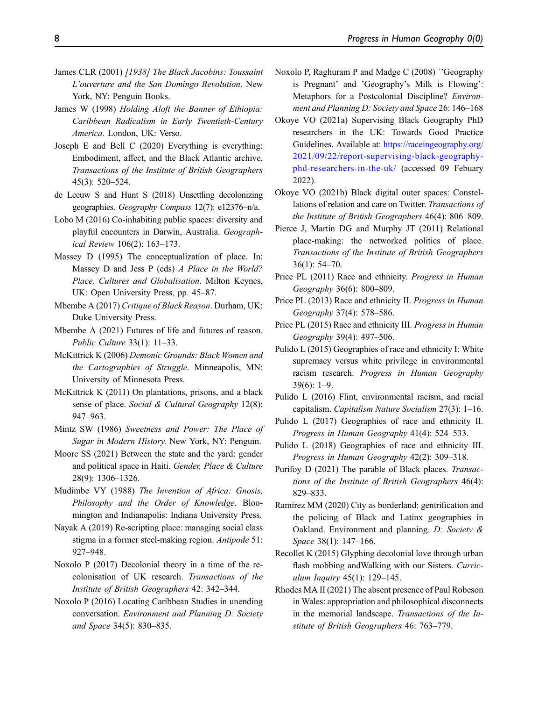- <span id="page-8-18"></span>James CLR (2001) [1938] The Black Jacobins: Toussaint L'ouverture and the San Domingo Revolution. New York, NY: Penguin Books.
- <span id="page-8-7"></span>James W (1998) Holding Aloft the Banner of Ethiopia: Caribbean Radicalism in Early Twentieth-Century America. London, UK: Verso.
- <span id="page-8-22"></span>Joseph E and Bell C (2020) Everything is everything: Embodiment, affect, and the Black Atlantic archive. Transactions of the Institute of British Geographers 45(3): 520–524.
- <span id="page-8-14"></span>de Leeuw S and Hunt S (2018) Unsettling decolonizing geographies. Geography Compass 12(7): e12376–n/a.
- <span id="page-8-25"></span>Lobo M (2016) Co-inhabiting public spaces: diversity and playful encounters in Darwin, Australia. Geographical Review 106(2): 163–173.
- <span id="page-8-27"></span>Massey D (1995) The conceptualization of place. In: Massey D and Jess P (eds) A Place in the World? Place, Cultures and Globalisation. Milton Keynes, UK: Open University Press, pp. 45–87.
- <span id="page-8-12"></span>Mbembe A (2017) Critique of Black Reason. Durham, UK: Duke University Press.
- <span id="page-8-20"></span>Mbembe A (2021) Futures of life and futures of reason. Public Culture 33(1): 11–33.
- <span id="page-8-15"></span>McKittrick K (2006) Demonic Grounds: Black Women and the Cartographies of Struggle. Minneapolis, MN: University of Minnesota Press.
- <span id="page-8-10"></span>McKittrick K (2011) On plantations, prisons, and a black sense of place. Social & Cultural Geography 12(8): 947–963.
- <span id="page-8-24"></span><span id="page-8-19"></span>Mintz SW (1986) Sweetness and Power: The Place of Sugar in Modern History. New York, NY: Penguin.
- Moore SS (2021) Between the state and the yard: gender and political space in Haiti. Gender, Place & Culture 28(9): 1306–1326.
- <span id="page-8-8"></span>Mudimbe VY (1988) The Invention of Africa: Gnosis, Philosophy and the Order of Knowledge. Bloomington and Indianapolis: Indiana University Press.
- <span id="page-8-29"></span>Nayak A (2019) Re-scripting place: managing social class stigma in a former steel-making region. Antipode 51: 927–948.
- <span id="page-8-28"></span>Noxolo P (2017) Decolonial theory in a time of the recolonisation of UK research. Transactions of the Institute of British Geographers 42: 342–344.
- <span id="page-8-23"></span>Noxolo P (2016) Locating Caribbean Studies in unending conversation. Environment and Planning D: Society and Space 34(5): 830–835.
- Noxolo P, Raghuram P and Madge C (2008) `'Geography is Pregnant' and 'Geography's Milk is Flowing': Metaphors for a Postcolonial Discipline? Environment and Planning D: Society and Space 26: 146–168
- <span id="page-8-6"></span>Okoye VO (2021a) Supervising Black Geography PhD researchers in the UK: Towards Good Practice Guidelines. Available at: [https://raceingeography.org/](https://raceingeography.org/2021/09/22/report-supervising-black-geography-phd-researchers-in-the-uk/) [2021/09/22/report-supervising-black-geography](https://raceingeography.org/2021/09/22/report-supervising-black-geography-phd-researchers-in-the-uk/)[phd-researchers-in-the-uk/](https://raceingeography.org/2021/09/22/report-supervising-black-geography-phd-researchers-in-the-uk/) (accessed 09 Febuary 2022).
- <span id="page-8-21"></span>Okoye VO (2021b) Black digital outer spaces: Constellations of relation and care on Twitter. Transactions of the Institute of British Geographers 46(4): 806–809.
- <span id="page-8-17"></span>Pierce J, Martin DG and Murphy JT (2011) Relational place-making: the networked politics of place. Transactions of the Institute of British Geographers 36(1): 54–70.
- <span id="page-8-0"></span>Price PL (2011) Race and ethnicity. Progress in Human Geography 36(6): 800–809.
- <span id="page-8-1"></span>Price PL (2013) Race and ethnicity II. Progress in Human Geography 37(4): 578–586.
- <span id="page-8-2"></span>Price PL (2015) Race and ethnicity III. Progress in Human Geography 39(4): 497–506.
- <span id="page-8-3"></span>Pulido L (2015) Geographies of race and ethnicity I: White supremacy versus white privilege in environmental racism research. Progress in Human Geography 39(6): 1–9.
- <span id="page-8-11"></span>Pulido L (2016) Flint, environmental racism, and racial capitalism. Capitalism Nature Socialism 27(3): 1–16.
- <span id="page-8-4"></span>Pulido L (2017) Geographies of race and ethnicity II. Progress in Human Geography 41(4): 524–533.
- <span id="page-8-5"></span>Pulido L (2018) Geographies of race and ethnicity III. Progress in Human Geography 42(2): 309–318.
- <span id="page-8-13"></span>Purifoy D (2021) The parable of Black places. Transactions of the Institute of British Geographers 46(4): 829–833.
- <span id="page-8-16"></span>Ramírez MM (2020) City as borderland: gentrification and the policing of Black and Latinx geographies in Oakland. Environment and planning. D: Society & Space 38(1): 147–166.
- <span id="page-8-26"></span>Recollet K (2015) Glyphing decolonial love through urban flash mobbing and Walking with our Sisters. Curriculum Inquiry 45(1): 129–145.
- <span id="page-8-9"></span>Rhodes MA II (2021) The absent presence of Paul Robeson in Wales: appropriation and philosophical disconnects in the memorial landscape. Transactions of the Institute of British Geographers 46: 763–779.